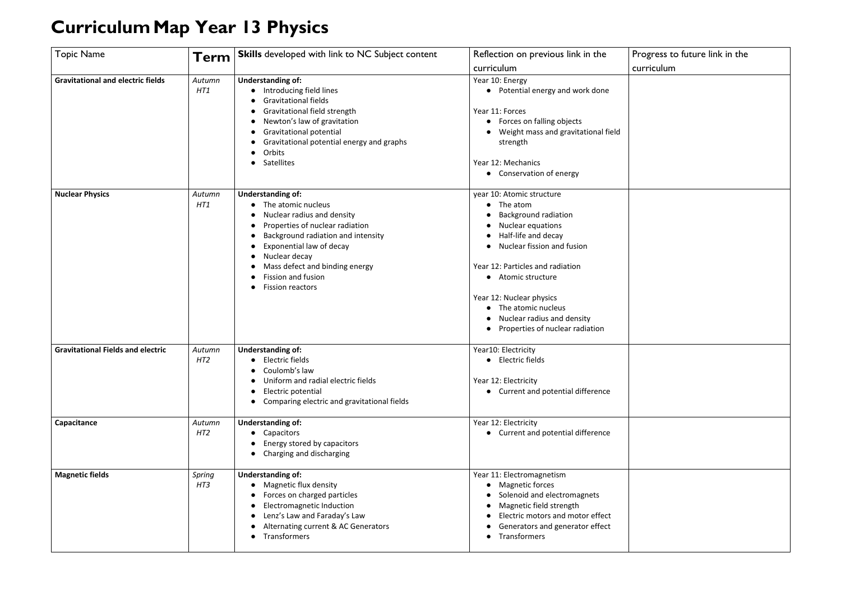## **CurriculumMap Year 13 Physics**

## Progress to future link in the curriculum

| <b>Topic Name</b>                        | Term                      | <b>Skills</b> developed with link to NC Subject content                                                                                                                                                                                                                                      | Reflection on previous link in the<br>curriculum                                                                                                                                                                                                                                                                            |
|------------------------------------------|---------------------------|----------------------------------------------------------------------------------------------------------------------------------------------------------------------------------------------------------------------------------------------------------------------------------------------|-----------------------------------------------------------------------------------------------------------------------------------------------------------------------------------------------------------------------------------------------------------------------------------------------------------------------------|
| <b>Gravitational and electric fields</b> | Autumn<br>HT1             | <b>Understanding of:</b><br>Introducing field lines<br><b>Gravitational fields</b><br>Gravitational field strength<br>Newton's law of gravitation<br><b>Gravitational potential</b><br>Gravitational potential energy and graphs<br>Orbits<br>Satellites                                     | Year 10: Energy<br>• Potential energy and work done<br>Year 11: Forces<br>• Forces on falling objects<br>Weight mass and gravitational field<br>strength<br>Year 12: Mechanics<br>• Conservation of energy                                                                                                                  |
| <b>Nuclear Physics</b>                   | Autumn<br>HT1             | <b>Understanding of:</b><br>The atomic nucleus<br>Nuclear radius and density<br>Properties of nuclear radiation<br>Background radiation and intensity<br>Exponential law of decay<br>Nuclear decay<br>Mass defect and binding energy<br><b>Fission and fusion</b><br><b>Fission reactors</b> | year 10: Atomic structure<br>The atom<br><b>Background radiation</b><br>Nuclear equations<br>Half-life and decay<br>Nuclear fission and fusion<br>Year 12: Particles and radiation<br>• Atomic structure<br>Year 12: Nuclear physics<br>The atomic nucleus<br>Nuclear radius and density<br>Properties of nuclear radiation |
| <b>Gravitational Fields and electric</b> | Autumn<br>HT <sub>2</sub> | <b>Understanding of:</b><br>• Electric fields<br>Coulomb's law<br>Uniform and radial electric fields<br>Electric potential<br>Comparing electric and gravitational fields                                                                                                                    | Year10: Electricity<br>• Electric fields<br>Year 12: Electricity<br>• Current and potential difference                                                                                                                                                                                                                      |
| Capacitance                              | Autumn<br>HT2             | <b>Understanding of:</b><br>Capacitors<br>Energy stored by capacitors<br>Charging and discharging                                                                                                                                                                                            | Year 12: Electricity<br>• Current and potential difference                                                                                                                                                                                                                                                                  |
| <b>Magnetic fields</b>                   | Spring<br>HT3             | <b>Understanding of:</b><br>Magnetic flux density<br>Forces on charged particles<br><b>Electromagnetic Induction</b><br>Lenz's Law and Faraday's Law<br>Alternating current & AC Generators<br>Transformers                                                                                  | Year 11: Electromagnetism<br><b>Magnetic forces</b><br>Solenoid and electromagnets<br>Magnetic field strength<br>Electric motors and motor effect<br>Generators and generator effect<br>Transformers                                                                                                                        |